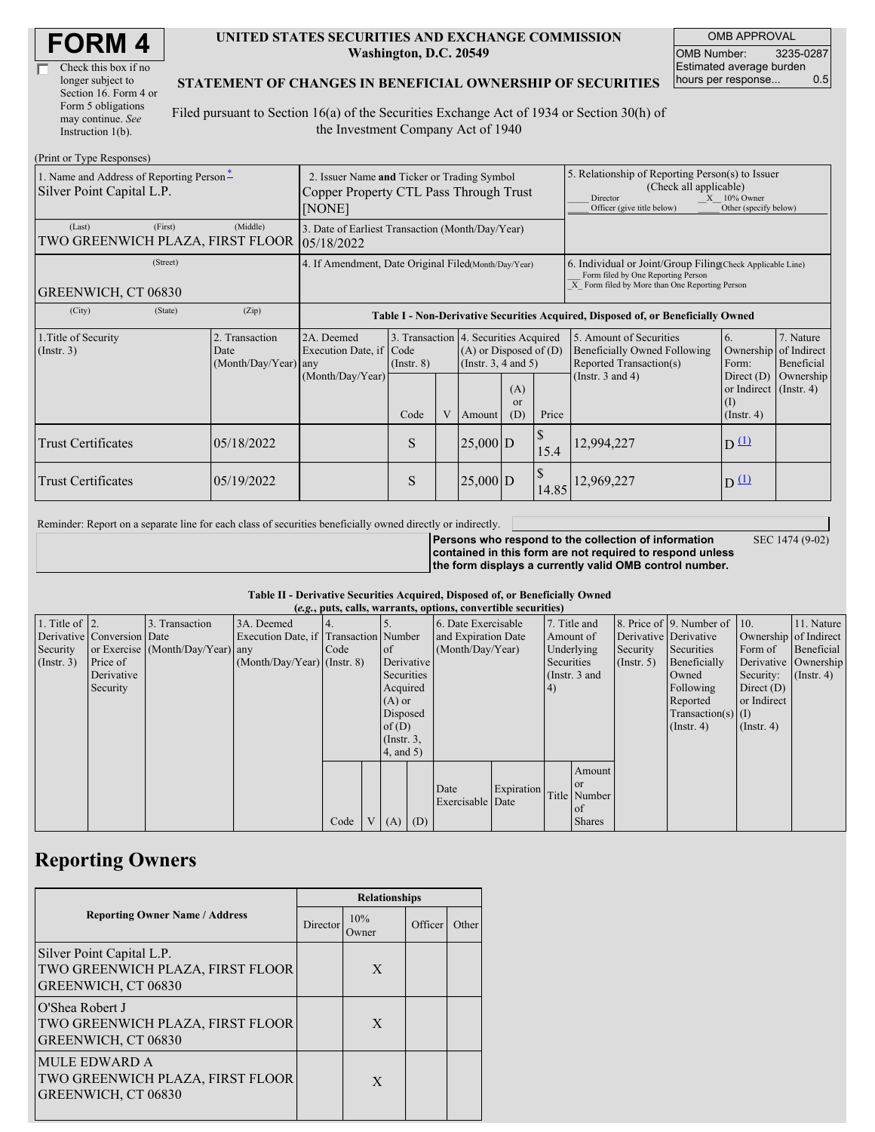| <b>FORM4</b> |
|--------------|
|--------------|

| Check this box if no  |
|-----------------------|
| longer subject to     |
| Section 16. Form 4 or |
| Form 5 obligations    |
| may continue. See     |
| Instruction $1(b)$ .  |

#### **UNITED STATES SECURITIES AND EXCHANGE COMMISSION Washington, D.C. 20549**

OMB APPROVAL OMB Number: 3235-0287 Estimated average burden hours per response... 0.5

### **STATEMENT OF CHANGES IN BENEFICIAL OWNERSHIP OF SECURITIES**

Filed pursuant to Section 16(a) of the Securities Exchange Act of 1934 or Section 30(h) of the Investment Company Act of 1940

| (Print or Type Responses)                                             |                                                                                                 |                                                                                  |                 |  |                                                                                             |                             |                                                                                                                                                                   |                                                                                                                                                    |                                                                   |                                                  |  |
|-----------------------------------------------------------------------|-------------------------------------------------------------------------------------------------|----------------------------------------------------------------------------------|-----------------|--|---------------------------------------------------------------------------------------------|-----------------------------|-------------------------------------------------------------------------------------------------------------------------------------------------------------------|----------------------------------------------------------------------------------------------------------------------------------------------------|-------------------------------------------------------------------|--------------------------------------------------|--|
| 1. Name and Address of Reporting Person-<br>Silver Point Capital L.P. | 2. Issuer Name and Ticker or Trading Symbol<br>Copper Property CTL Pass Through Trust<br>[NONE] |                                                                                  |                 |  |                                                                                             |                             | 5. Relationship of Reporting Person(s) to Issuer<br>(Check all applicable)<br>$X = 10\%$ Owner<br>Director<br>Other (specify below)<br>Officer (give title below) |                                                                                                                                                    |                                                                   |                                                  |  |
| (First)<br>(Last)<br>TWO GREENWICH PLAZA, FIRST FLOOR                 | 3. Date of Earliest Transaction (Month/Day/Year)<br>105/18/2022                                 |                                                                                  |                 |  |                                                                                             |                             |                                                                                                                                                                   |                                                                                                                                                    |                                                                   |                                                  |  |
| (Street)<br>GREENWICH, CT 06830                                       |                                                                                                 | 4. If Amendment, Date Original Filed(Month/Day/Year)                             |                 |  |                                                                                             |                             |                                                                                                                                                                   | 6. Individual or Joint/Group Filing Check Applicable Line)<br>Form filed by One Reporting Person<br>X Form filed by More than One Reporting Person |                                                                   |                                                  |  |
| (City)<br>(State)                                                     | (Zip)                                                                                           | Table I - Non-Derivative Securities Acquired, Disposed of, or Beneficially Owned |                 |  |                                                                                             |                             |                                                                                                                                                                   |                                                                                                                                                    |                                                                   |                                                  |  |
| 1. Title of Security<br>(Insert. 3)                                   | 2. Transaction<br>Date<br>(Month/Day/Year) any                                                  | 2A. Deemed<br>Execution Date, if Code<br>(Month/Day/Year)                        | $($ Instr. $8)$ |  | 3. Transaction 4. Securities Acquired<br>$(A)$ or Disposed of $(D)$<br>(Insert. 3, 4 and 5) |                             |                                                                                                                                                                   | 5. Amount of Securities<br>Beneficially Owned Following<br>Reported Transaction(s)                                                                 | 6.<br>Form:                                                       | 7. Nature<br>Ownership of Indirect<br>Beneficial |  |
|                                                                       |                                                                                                 |                                                                                  | Code            |  | Amount                                                                                      | (A)<br><sub>or</sub><br>(D) | Price                                                                                                                                                             | (Instr. $3$ and $4$ )                                                                                                                              | Direct $(D)$<br>or Indirect (Instr. 4)<br>(I)<br>$($ Instr. 4 $)$ | Ownership                                        |  |
| <b>Trust Certificates</b>                                             | 05/18/2022                                                                                      |                                                                                  | S               |  | $25,000$ D                                                                                  |                             | 15.4                                                                                                                                                              | 12,994,227                                                                                                                                         | $D^{\text{L}}$                                                    |                                                  |  |
| <b>Trust Certificates</b>                                             | 05/19/2022                                                                                      |                                                                                  | S               |  | $25,000$ D                                                                                  |                             | 14.85                                                                                                                                                             | 12,969,227                                                                                                                                         | $D^{(1)}$                                                         |                                                  |  |

Reminder: Report on a separate line for each class of securities beneficially owned directly or indirectly.

SEC 1474 (9-02)

**Persons who respond to the collection of information contained in this form are not required to respond unless the form displays a currently valid OMB control number.**

### **Table II - Derivative Securities Acquired, Disposed of, or Beneficially Owned**

|                        | (e.g., puts, calls, warrants, options, convertible securities) |                                  |                                       |      |              |                 |            |                          |               |              |               |                       |                              |                       |                      |
|------------------------|----------------------------------------------------------------|----------------------------------|---------------------------------------|------|--------------|-----------------|------------|--------------------------|---------------|--------------|---------------|-----------------------|------------------------------|-----------------------|----------------------|
| 1. Title of $\vert$ 2. |                                                                | 3. Transaction                   | 3A. Deemed                            |      |              |                 |            | 6. Date Exercisable      |               | 7. Title and |               |                       | 8. Price of 9. Number of 10. |                       | 11. Nature           |
|                        | Derivative Conversion Date                                     |                                  | Execution Date, if Transaction Number |      |              |                 |            | and Expiration Date      |               | Amount of    |               | Derivative Derivative |                              | Ownership of Indirect |                      |
| Security               |                                                                | or Exercise (Month/Day/Year) any |                                       | Code |              | $\circ$ f       |            | (Month/Day/Year)         |               | Underlying   |               | Security              | Securities                   | Form of               | Beneficial           |
| $($ Instr. 3 $)$       | Price of                                                       |                                  | $(Month/Day/Year)$ (Instr. 8)         |      |              | Derivative      |            |                          |               | Securities   |               | (Insert. 5)           | Beneficially                 |                       | Derivative Ownership |
|                        | Derivative                                                     |                                  |                                       |      |              |                 | Securities |                          | (Instr. 3 and |              |               | Owned                 | Security:                    | $($ Instr. 4 $)$      |                      |
|                        | Security                                                       |                                  |                                       |      |              |                 | Acquired   |                          |               | $\vert 4)$   |               |                       | Following                    | Direct $(D)$          |                      |
|                        |                                                                |                                  |                                       |      |              | $(A)$ or        |            |                          |               |              |               | Reported              | or Indirect                  |                       |                      |
|                        |                                                                |                                  |                                       |      |              | Disposed        |            |                          |               |              |               |                       | Transaction(s) $(I)$         |                       |                      |
|                        |                                                                |                                  |                                       |      |              | of $(D)$        |            |                          |               |              |               |                       | $($ Instr. 4 $)$             | $($ Instr. 4 $)$      |                      |
|                        |                                                                |                                  |                                       |      |              | $($ Instr. $3,$ |            |                          |               |              |               |                       |                              |                       |                      |
|                        |                                                                |                                  |                                       |      |              | 4, and 5)       |            |                          |               |              |               |                       |                              |                       |                      |
|                        |                                                                |                                  |                                       |      |              |                 |            |                          |               |              | Amount        |                       |                              |                       |                      |
|                        |                                                                |                                  |                                       |      |              |                 |            |                          |               |              | <b>or</b>     |                       |                              |                       |                      |
|                        |                                                                |                                  |                                       |      |              |                 |            | Date<br>Exercisable Date | Expiration    |              | Title Number  |                       |                              |                       |                      |
|                        |                                                                |                                  |                                       |      |              |                 |            |                          |               |              | of            |                       |                              |                       |                      |
|                        |                                                                |                                  |                                       | Code | $\mathbf{V}$ | $(A)$ $(D)$     |            |                          |               |              | <b>Shares</b> |                       |                              |                       |                      |

## **Reporting Owners**

|                                                                                      |          | <b>Relationships</b> |         |       |  |  |  |  |
|--------------------------------------------------------------------------------------|----------|----------------------|---------|-------|--|--|--|--|
| <b>Reporting Owner Name / Address</b>                                                | Director | 10%<br>Owner         | Officer | Other |  |  |  |  |
| Silver Point Capital L.P.<br>TWO GREENWICH PLAZA, FIRST FLOOR<br>GREENWICH, CT 06830 |          | X                    |         |       |  |  |  |  |
| O'Shea Robert J<br>TWO GREENWICH PLAZA, FIRST FLOOR<br>GREENWICH, CT 06830           |          | X                    |         |       |  |  |  |  |
| <b>MULE EDWARD A</b><br>TWO GREENWICH PLAZA, FIRST FLOOR<br>GREENWICH, CT 06830      |          | X                    |         |       |  |  |  |  |